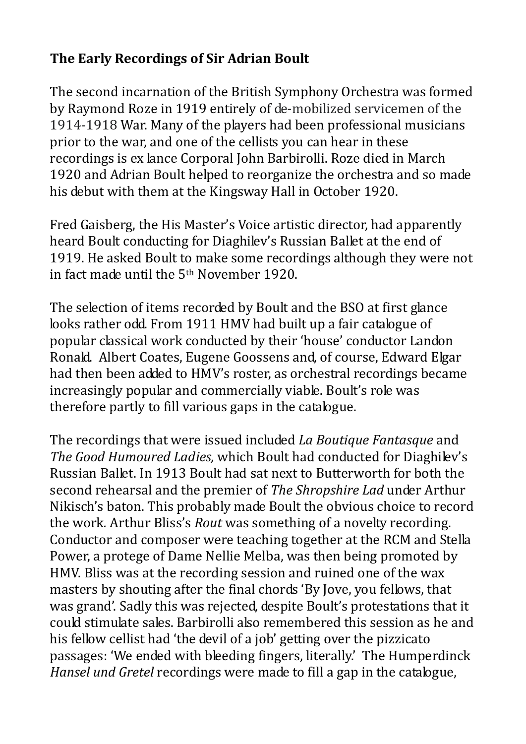## **The Early Recordings of Sir Adrian Boult**

The second incarnation of the British Symphony Orchestra was formed by Raymond Roze in 1919 entirely of de-mobilized servicemen of the 1914-1918 War. Many of the players had been professional musicians prior to the war, and one of the cellists you can hear in these recordings is ex lance Corporal John Barbirolli. Roze died in March 1920 and Adrian Boult helped to reorganize the orchestra and so made his debut with them at the Kingsway Hall in October 1920.

Fred Gaisberg, the His Master's Voice artistic director, had apparently heard Boult conducting for Diaghilev's Russian Ballet at the end of 1919. He asked Boult to make some recordings although they were not in fact made until the 5th November 1920.

The selection of items recorded by Boult and the BSO at first glance looks rather odd. From 1911 HMV had built up a fair catalogue of popular classical work conducted by their 'house' conductor Landon Ronald. Albert Coates, Eugene Goossens and, of course, Edward Elgar had then been added to HMV's roster, as orchestral recordings became increasingly popular and commercially viable. Boult's role was therefore partly to fill various gaps in the catalogue.

The recordings that were issued included *La Boutique Fantasque* and *The Good Humoured Ladies,* which Boult had conducted for Diaghilev's Russian Ballet. In 1913 Boult had sat next to Butterworth for both the second rehearsal and the premier of *The Shropshire Lad* under Arthur Nikisch's baton. This probably made Boult the obvious choice to record the work*.* Arthur Bliss's *Rout* was something of a novelty recording. Conductor and composer were teaching together at the RCM and Stella Power, a protege of Dame Nellie Melba, was then being promoted by HMV. Bliss was at the recording session and ruined one of the wax masters by shouting after the final chords 'By Jove, you fellows, that was grand'. Sadly this was rejected, despite Boult's protestations that it could stimulate sales. Barbirolli also remembered this session as he and his fellow cellist had 'the devil of a job' getting over the pizzicato passages: 'We ended with bleeding fingers, literally.' The Humperdinck *Hansel und Gretel* recordings were made to fill a gap in the catalogue,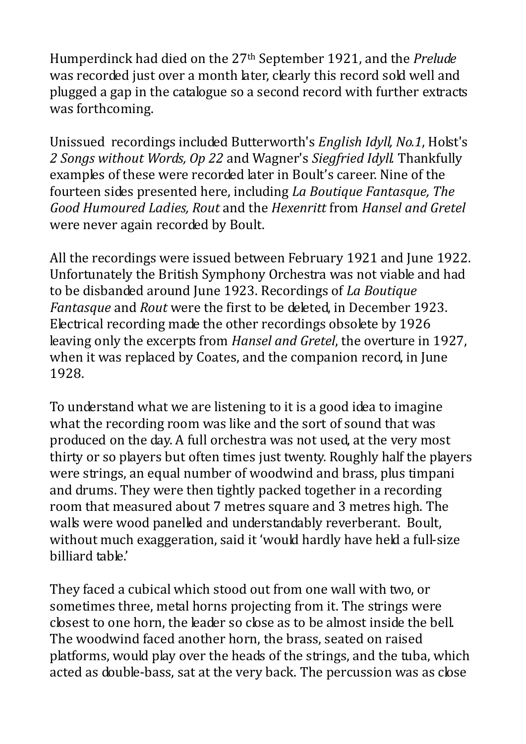Humperdinck had died on the 27th September 1921, and the *Prelude* was recorded just over a month later, clearly this record sold well and plugged a gap in the catalogue so a second record with further extracts was forthcoming.

Unissued recordings included Butterworth's *English Idyll, No.1*, Holst's *2 Songs without Words, Op 22* and Wagner's *Siegfried Idyll.* Thankfully examples of these were recorded later in Boult's career. Nine of the fourteen sides presented here, including *La Boutique Fantasque, The Good Humoured Ladies, Rout* and the *Hexenritt* from *Hansel and Gretel* were never again recorded by Boult.

All the recordings were issued between February 1921 and June 1922. Unfortunately the British Symphony Orchestra was not viable and had to be disbanded around June 1923. Recordings of *La Boutique Fantasque* and *Rout* were the first to be deleted, in December 1923. Electrical recording made the other recordings obsolete by 1926 leaving only the excerpts from *Hansel and Gretel*, the overture in 1927, when it was replaced by Coates, and the companion record, in June 1928.

To understand what we are listening to it is a good idea to imagine what the recording room was like and the sort of sound that was produced on the day. A full orchestra was not used, at the very most thirty or so players but often times just twenty. Roughly half the players were strings, an equal number of woodwind and brass, plus timpani and drums. They were then tightly packed together in a recording room that measured about 7 metres square and 3 metres high. The walls were wood panelled and understandably reverberant. Boult, without much exaggeration, said it 'would hardly have held a full-size billiard table.'

They faced a cubical which stood out from one wall with two, or sometimes three, metal horns projecting from it. The strings were closest to one horn, the leader so close as to be almost inside the bell. The woodwind faced another horn, the brass, seated on raised platforms, would play over the heads of the strings, and the tuba, which acted as double-bass, sat at the very back. The percussion was as close